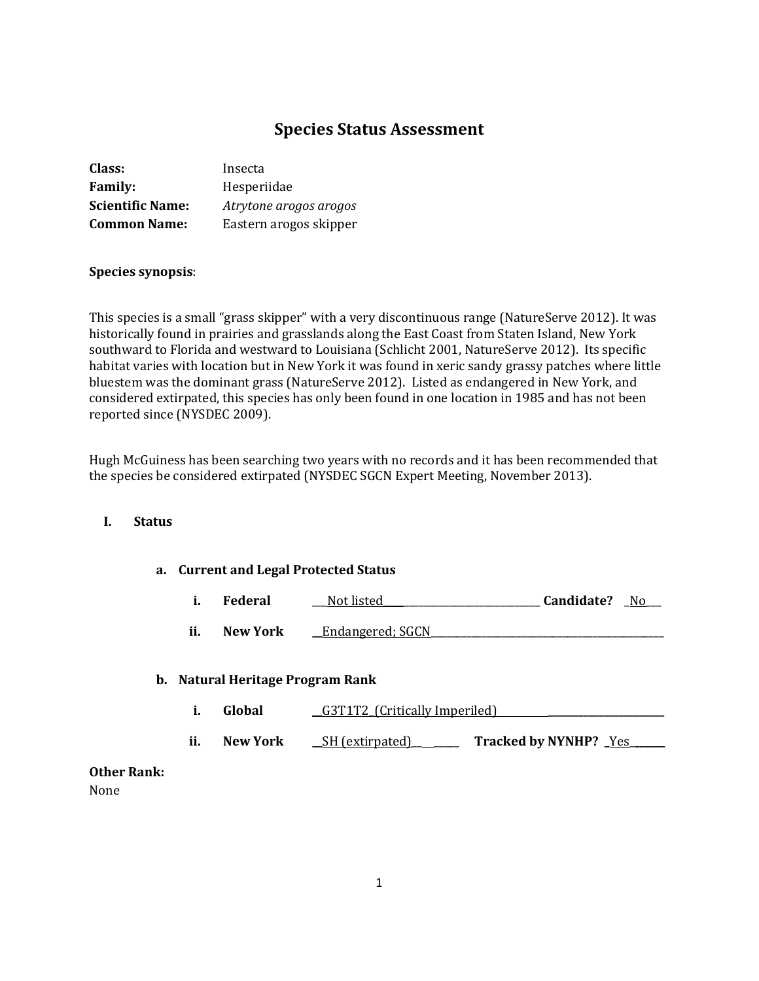# **Species Status Assessment**

| Class:                  | Insecta                |
|-------------------------|------------------------|
| <b>Family:</b>          | Hesperiidae            |
| <b>Scientific Name:</b> | Atrytone arogos arogos |
| <b>Common Name:</b>     | Eastern arogos skipper |

## **Species synopsis**:

This species is a small "grass skipper" with a very discontinuous range (NatureServe 2012). It was historically found in prairies and grasslands along the East Coast from Staten Island, New York southward to Florida and westward to Louisiana (Schlicht 2001, NatureServe 2012). Its specific habitat varies with location but in New York it was found in xeric sandy grassy patches where little bluestem was the dominant grass (NatureServe 2012). Listed as endangered in New York, and considered extirpated, this species has only been found in one location in 1985 and has not been reported since (NYSDEC 2009).

Hugh McGuiness has been searching two years with no records and it has been recommended that the species be considered extirpated (NYSDEC SGCN Expert Meeting, November 2013).

# **I. Status**

#### **a. Current and Legal Protected Status**

|  | Federal | Not listed | Candidate? | No |
|--|---------|------------|------------|----|
|--|---------|------------|------------|----|

**ii.** New York **\_\_**Endangered; SGCN

#### **b. Natural Heritage Program Rank**

**i. Global**  $\qquad \qquad \underline{\text{G3T1T2}}$  (Critically Imperiled)

**ii. New York**  $\underline{\phantom{a}}SH$  (extirpated) \_\_\_\_\_\_\_ Tracked by NYNHP?  $\underline{\phantom{a}}Yes$ 

# **Other Rank:**

None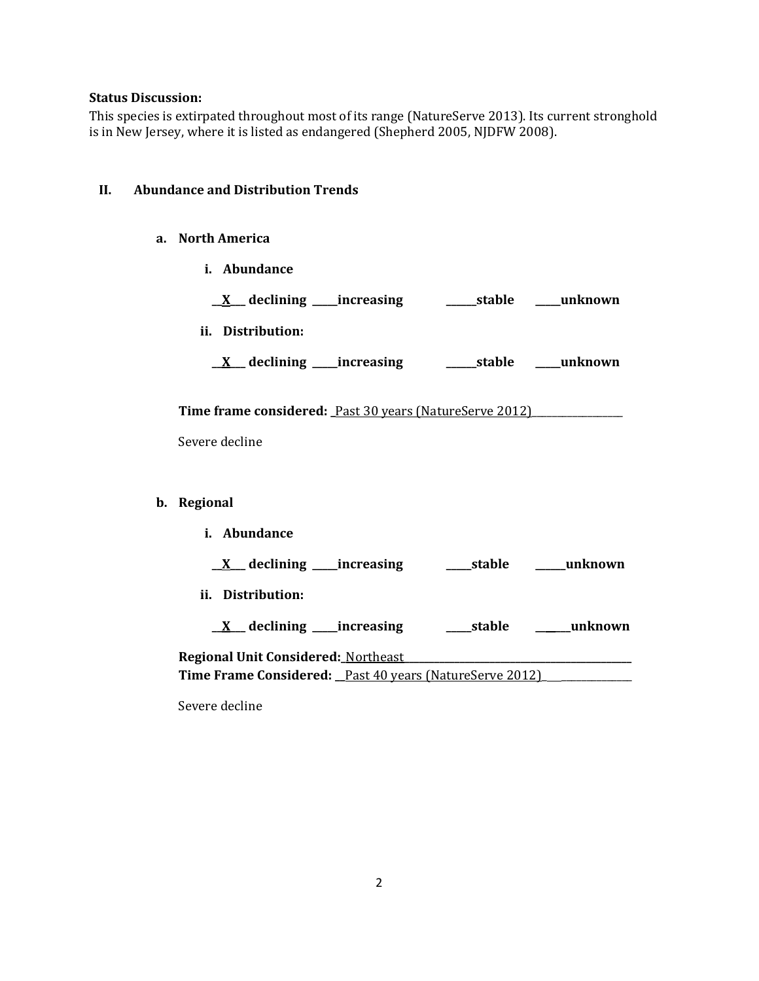# **Status Discussion:**

This species is extirpated throughout most of its range (NatureServe 2013). Its current stronghold is in New Jersey, where it is listed as endangered (Shepherd 2005, NJDFW 2008).

# **II. Abundance and Distribution Trends**

# **a. North America**

**i. Abundance**

| <u>X</u> declining increasing a stable mush own                |  |
|----------------------------------------------------------------|--|
| ii. Distribution:                                              |  |
|                                                                |  |
| <b>Time frame considered:</b> Past 30 years (NatureServe 2012) |  |
| Severe decline                                                 |  |
|                                                                |  |
| b. Regional                                                    |  |
| i. Abundance                                                   |  |
|                                                                |  |
| ii. Distribution:                                              |  |
|                                                                |  |
| Regional Unit Considered: Northeast                            |  |
| Time Frame Considered: Past 40 years (NatureServe 2012)        |  |

Severe decline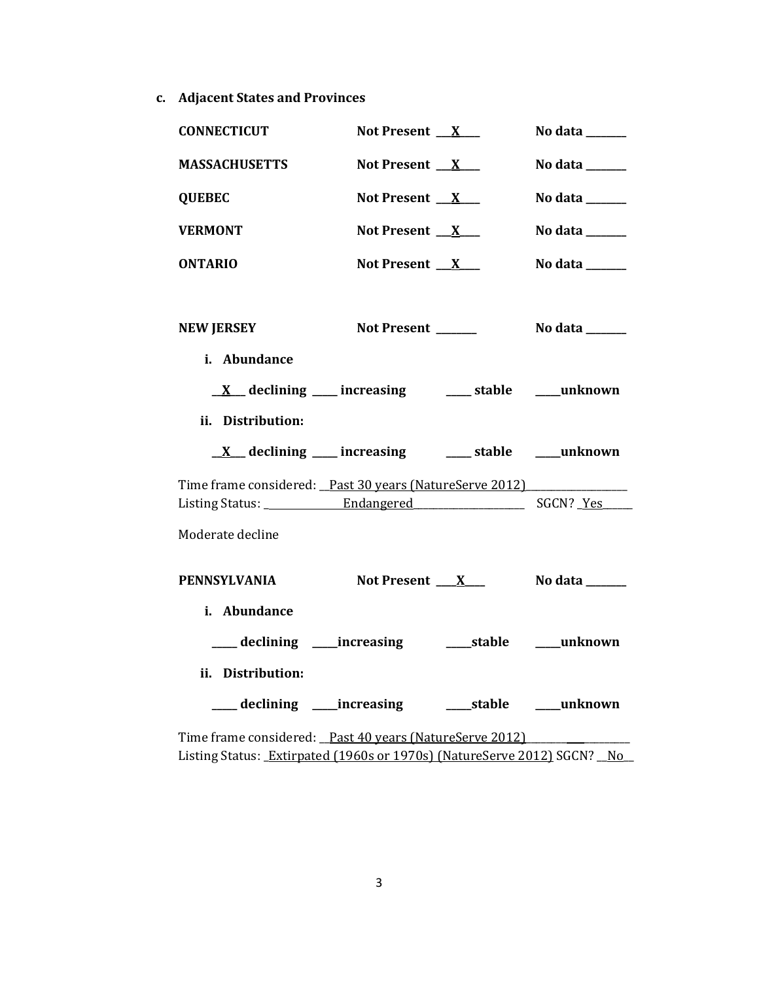**c. Adjacent States and Provinces**

| <b>CONNECTICUT</b>                                                                                                                 | Not Present $X_{-}$   | No data $\_\_\_\_\_\_\_\_\_\_\_\_$ |
|------------------------------------------------------------------------------------------------------------------------------------|-----------------------|------------------------------------|
| <b>MASSACHUSETTS</b>                                                                                                               | Not Present $X$       | No data ______                     |
| <b>QUEBEC</b>                                                                                                                      | Not Present $X$       | No data $\_\_\_\_\_\_\_\_\_\_\_\_$ |
| <b>VERMONT</b>                                                                                                                     | Not Present $X$       | No data ______                     |
| <b>ONTARIO</b>                                                                                                                     | Not Present $X$       | No data ______                     |
| <b>NEW JERSEY</b><br>i. Abundance                                                                                                  | Not Present ______    | No data ______                     |
| $\underline{X}$ declining ___ increasing ___ stable ___ unknown<br>ii. Distribution:                                               |                       |                                    |
|                                                                                                                                    |                       |                                    |
|                                                                                                                                    |                       |                                    |
| $\underline{X}$ declining ___ increasing ___ stable ___ unknown                                                                    |                       |                                    |
| Time frame considered: Past 30 years (NatureServe 2012)                                                                            |                       |                                    |
|                                                                                                                                    |                       |                                    |
| Moderate decline                                                                                                                   |                       |                                    |
| <b>PENNSYLVANIA</b>                                                                                                                | Not Present X No data |                                    |
| i. Abundance                                                                                                                       |                       |                                    |
|                                                                                                                                    |                       |                                    |
| ii. Distribution:                                                                                                                  |                       |                                    |
| ___ declining ___ increasing ____ stable ___ unknown                                                                               |                       |                                    |
| Time frame considered: Past 40 years (NatureServe 2012)<br>Listing Status: Extirpated (1960s or 1970s) (NatureServe 2012) SGCN? No |                       |                                    |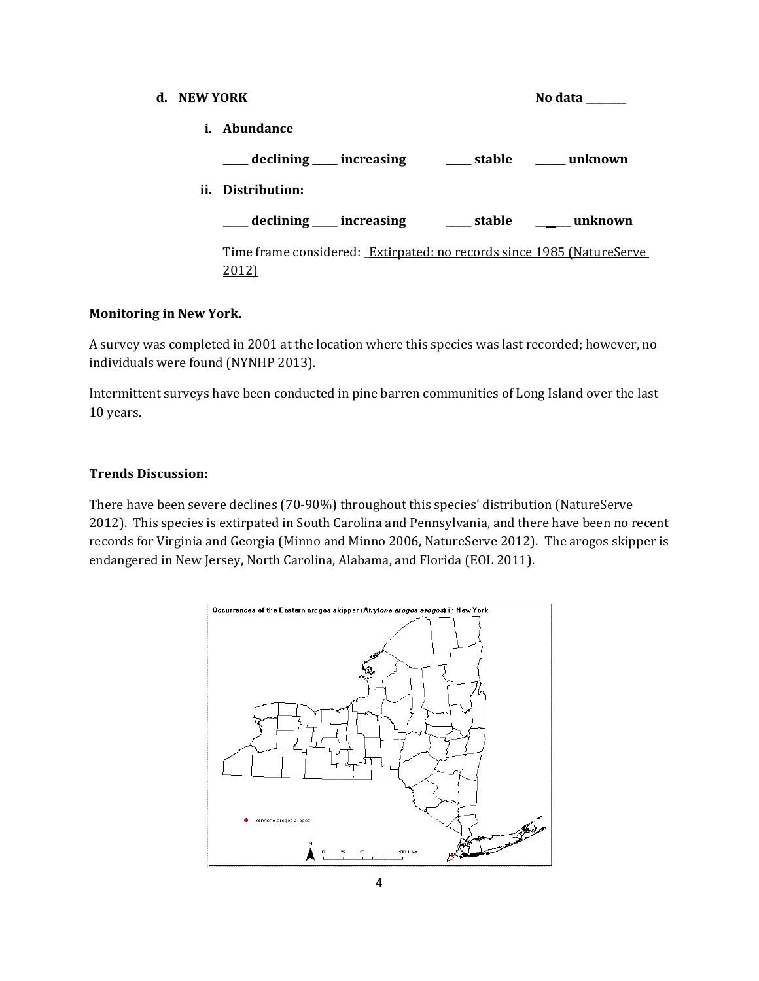**d. NEW YORK No data No data No data No data No data No data No data i. Abundance \_\_\_\_\_ declining \_\_\_\_\_ increasing \_\_\_\_\_ stable \_\_\_\_\_\_ unknown ii. Distribution: \_\_\_\_\_ declining \_\_\_\_\_ increasing \_\_\_\_\_ stable \_\_\_\_\_\_\_ unknown** Time frame considered: Extirpated: no records since 1985 (NatureServe 2012)

# **Monitoring in New York.**

A survey was completed in 2001 at the location where this species was last recorded; however, no individuals were found (NYNHP 2013).

Intermittent surveys have been conducted in pine barren communities of Long Island over the last 10 years.

# **Trends Discussion:**

There have been severe declines (70-90%) throughout this species' distribution (NatureServe 2012). This species is extirpated in South Carolina and Pennsylvania, and there have been no recent records for Virginia and Georgia (Minno and Minno 2006, NatureServe 2012). The arogos skipper is endangered in New Jersey, North Carolina, Alabama, and Florida (EOL 2011).

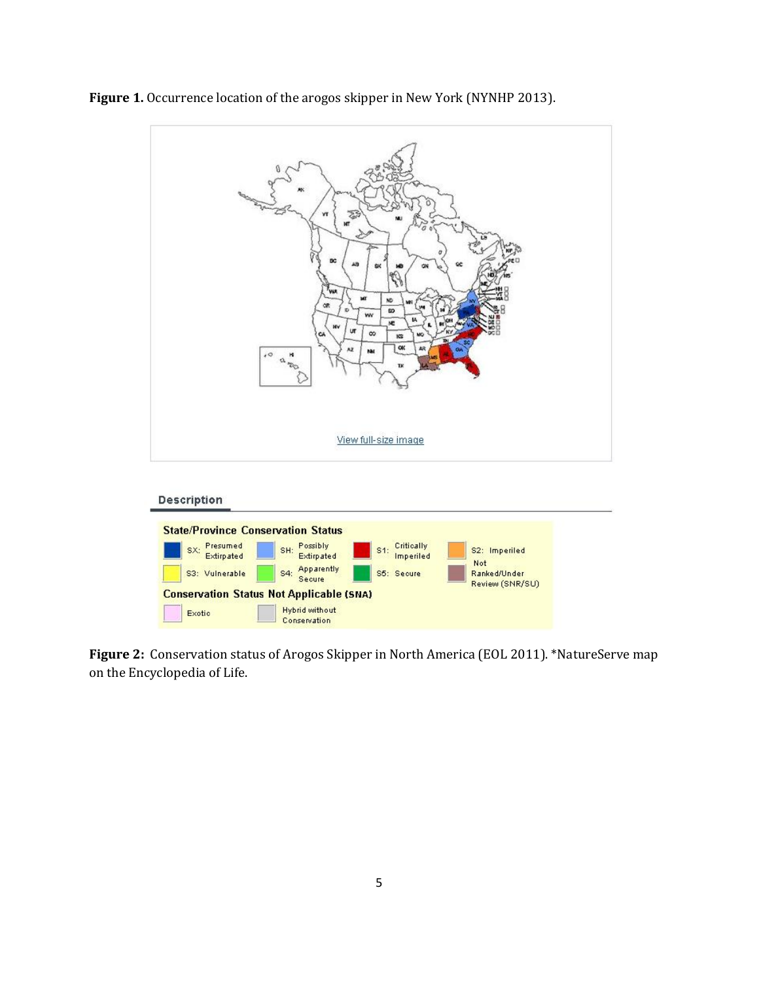

**Figure 1.** Occurrence location of the arogos skipper in New York (NYNHP 2013).

**Figure 2:** Conservation status of Arogos Skipper in North America (EOL 2011). \*NatureServe map on the Encyclopedia of Life.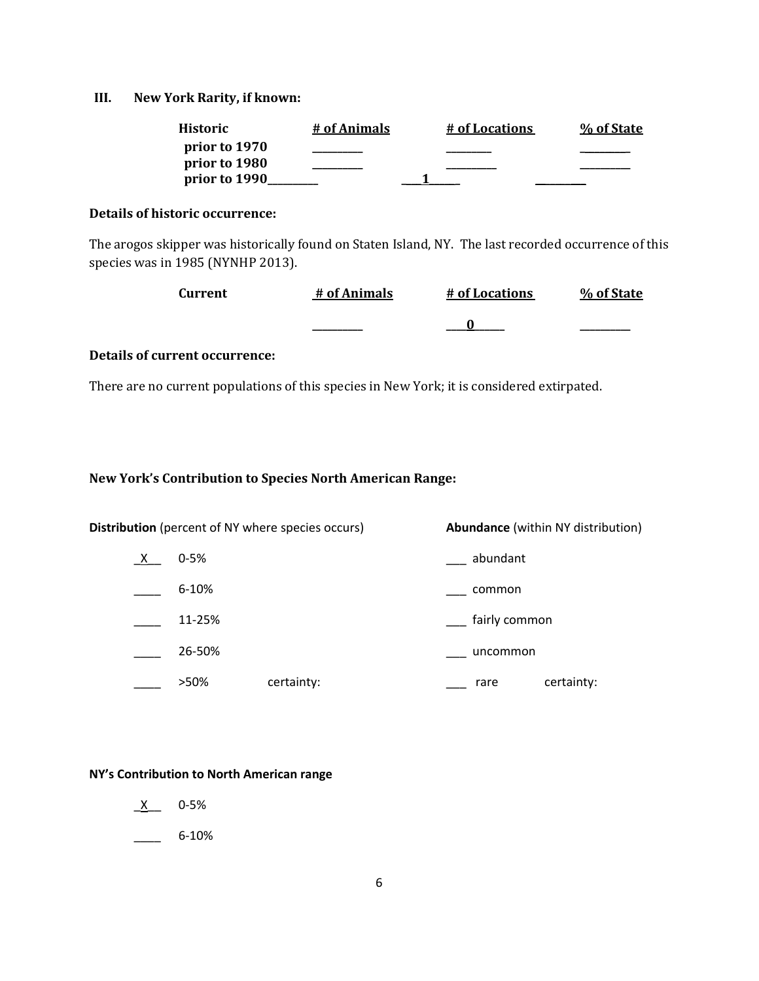#### **III. New York Rarity, if known:**

| <b>Historic</b> | # of Animals | # of Locations | % of State |
|-----------------|--------------|----------------|------------|
| prior to 1970   |              |                |            |
| prior to 1980   |              |                |            |
| prior to 1990   |              |                |            |

### **Details of historic occurrence:**

The arogos skipper was historically found on Staten Island, NY. The last recorded occurrence of this species was in 1985 (NYNHP 2013).

| Current | # of Animals | # of Locations | % of State |
|---------|--------------|----------------|------------|
|         |              |                |            |

# **Details of current occurrence:**

There are no current populations of this species in New York; it is considered extirpated.

## **New York's Contribution to Species North American Range:**

**Distribution** (percent of NY where species occurs) **Abundance** (within NY distribution)

- \_X\_\_ 0-5% \_\_\_ abundant
- \_\_\_\_ 6-10% \_\_\_ common
- \_\_\_\_ 11-25% \_\_\_ fairly common
- \_\_\_\_ 26-50% \_\_\_ uncommon
	- \_\_\_\_ >50% certainty: \_\_\_ rare certainty:

#### **NY's Contribution to North American range**

- \_X\_\_ 0-5%
- $-$  6-10%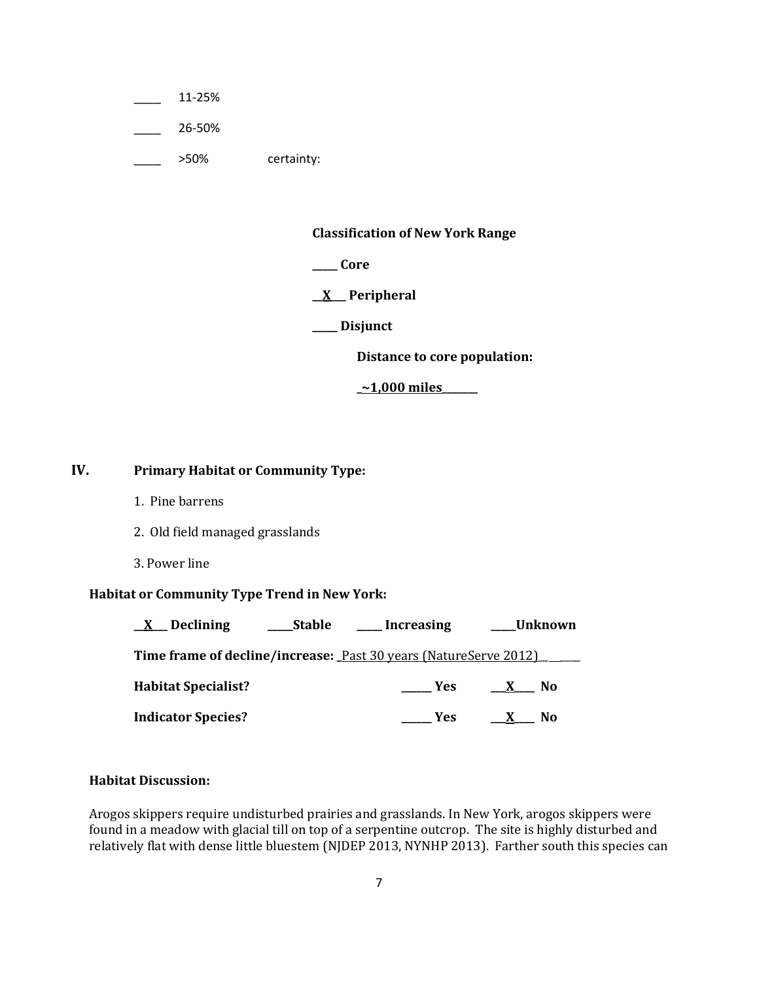\_\_\_\_ 11-25%

\_\_\_\_ 26-50%

\_\_\_\_ >50% certainty:

**Classification of New York Range**

**\_\_\_\_\_ Core**

**\_\_X\_\_\_ Peripheral**

**\_\_\_\_\_ Disjunct**

**Distance to core population:**

**\_~1,000 miles\_\_\_\_\_\_\_**

# **IV. Primary Habitat or Community Type:**

- 1. Pine barrens
- 2. Old field managed grasslands
- 3. Power line

# **Habitat or Community Type Trend in New York:**

| Declining<br>$\mathbf{X}$  | <b>Stable</b> | Increasing                                                       | <sub>-</sub> Unknown           |
|----------------------------|---------------|------------------------------------------------------------------|--------------------------------|
|                            |               | Time frame of decline/increase: Past 30 years (NatureServe 2012) |                                |
| <b>Habitat Specialist?</b> |               | <b>Yes</b>                                                       | No.<br>$\mathbf{X}$            |
| <b>Indicator Species?</b>  |               | Yes.                                                             | N <sub>0</sub><br>$\mathbf{x}$ |

## **Habitat Discussion:**

Arogos skippers require undisturbed prairies and grasslands. In New York, arogos skippers were found in a meadow with glacial till on top of a serpentine outcrop. The site is highly disturbed and relatively flat with dense little bluestem (NJDEP 2013, NYNHP 2013). Farther south this species can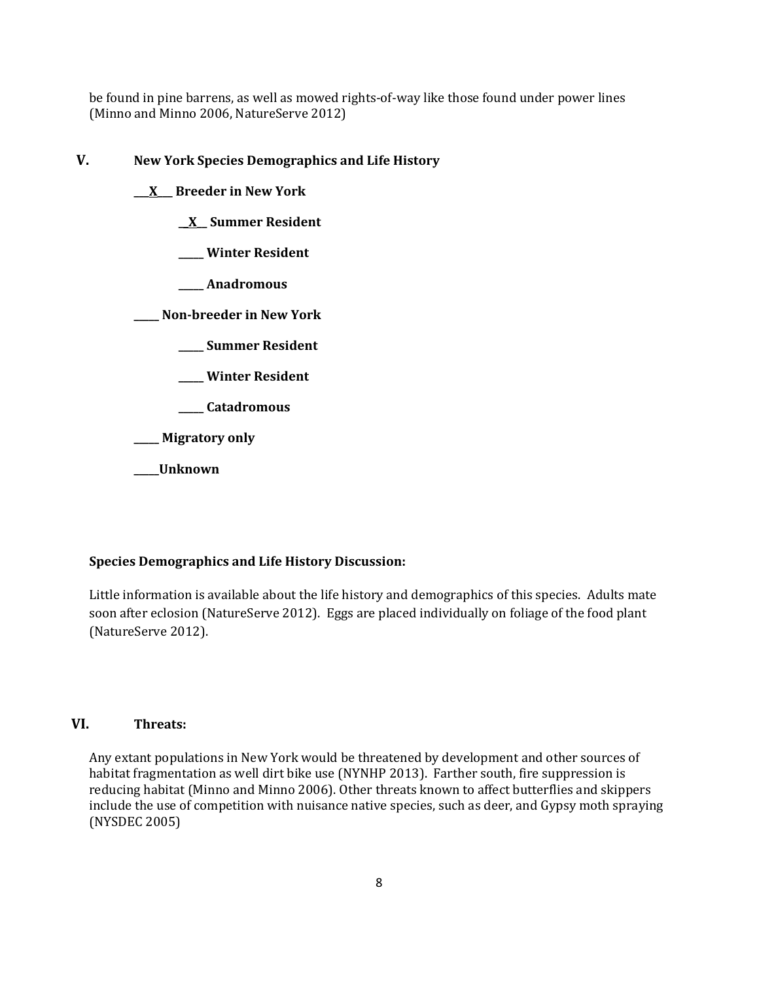be found in pine barrens, as well as mowed rights-of-way like those found under power lines (Minno and Minno 2006, NatureServe 2012)

# **V. New York Species Demographics and Life History**

**\_\_\_X\_\_\_ Breeder in New York**

**\_\_X\_\_ Summer Resident**

**\_\_\_\_\_ Winter Resident**

**\_\_\_\_\_ Anadromous**

**\_\_\_\_\_ Non-breeder in New York**

**\_\_\_\_\_ Summer Resident**

**\_\_\_\_\_ Winter Resident**

**\_\_\_\_\_ Catadromous**

**\_\_\_\_\_ Migratory only**

**\_\_\_\_\_Unknown**

# **Species Demographics and Life History Discussion:**

Little information is available about the life history and demographics of this species. Adults mate soon after eclosion (NatureServe 2012). Eggs are placed individually on foliage of the food plant (NatureServe 2012).

#### **VI. Threats:**

Any extant populations in New York would be threatened by development and other sources of habitat fragmentation as well dirt bike use (NYNHP 2013). Farther south, fire suppression is reducing habitat (Minno and Minno 2006). Other threats known to affect butterflies and skippers include the use of competition with nuisance native species, such as deer, and Gypsy moth spraying (NYSDEC 2005)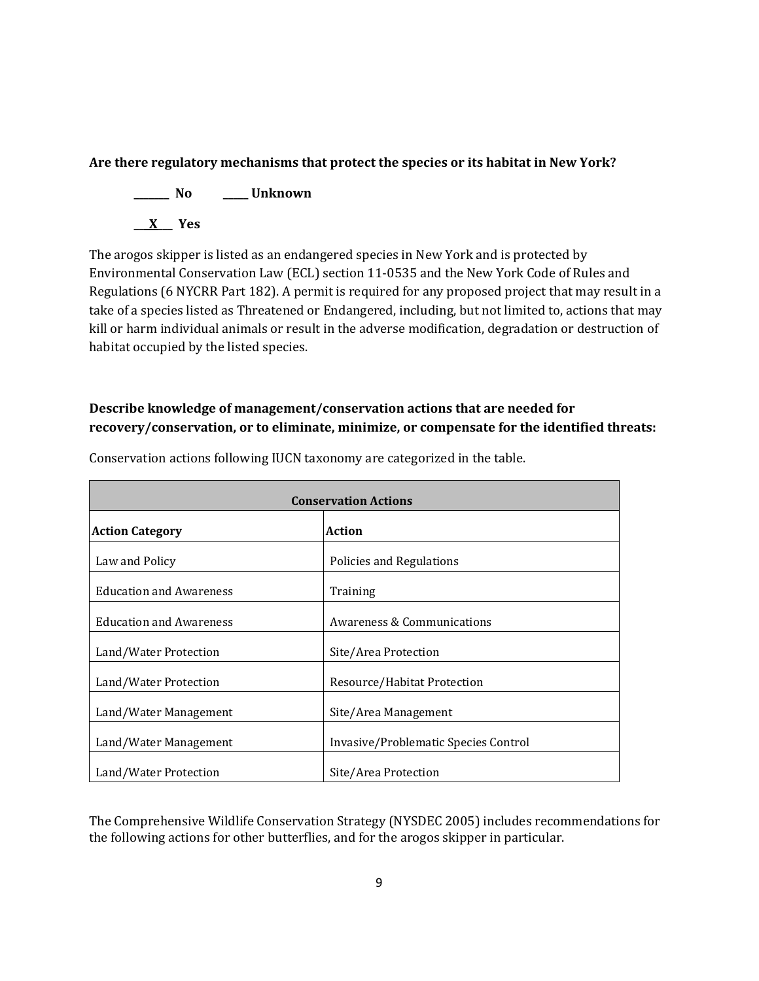# **Are there regulatory mechanisms that protect the species or its habitat in New York?**

**\_\_\_\_\_\_\_ No \_\_\_\_\_ Unknown**

**\_\_\_X\_\_\_ Yes** 

The arogos skipper is listed as an endangered species in New York and is protected by Environmental Conservation Law (ECL) section 11-0535 and the New York Code of Rules and Regulations (6 NYCRR Part 182). A permit is required for any proposed project that may result in a take of a species listed as Threatened or Endangered, including, but not limited to, actions that may kill or harm individual animals or result in the adverse modification, degradation or destruction of habitat occupied by the listed species.

# **Describe knowledge of management/conservation actions that are needed for recovery/conservation, or to eliminate, minimize, or compensate for the identified threats:**

| <b>Conservation Actions</b>    |                                      |  |
|--------------------------------|--------------------------------------|--|
| <b>Action Category</b>         | <b>Action</b>                        |  |
| Law and Policy                 | Policies and Regulations             |  |
| <b>Education and Awareness</b> | Training                             |  |
| <b>Education and Awareness</b> | Awareness & Communications           |  |
| Land/Water Protection          | Site/Area Protection                 |  |
| Land/Water Protection          | Resource/Habitat Protection          |  |
| Land/Water Management          | Site/Area Management                 |  |
| Land/Water Management          | Invasive/Problematic Species Control |  |
| Land/Water Protection          | Site/Area Protection                 |  |

Conservation actions following IUCN taxonomy are categorized in the table.

The Comprehensive Wildlife Conservation Strategy (NYSDEC 2005) includes recommendations for the following actions for other butterflies, and for the arogos skipper in particular.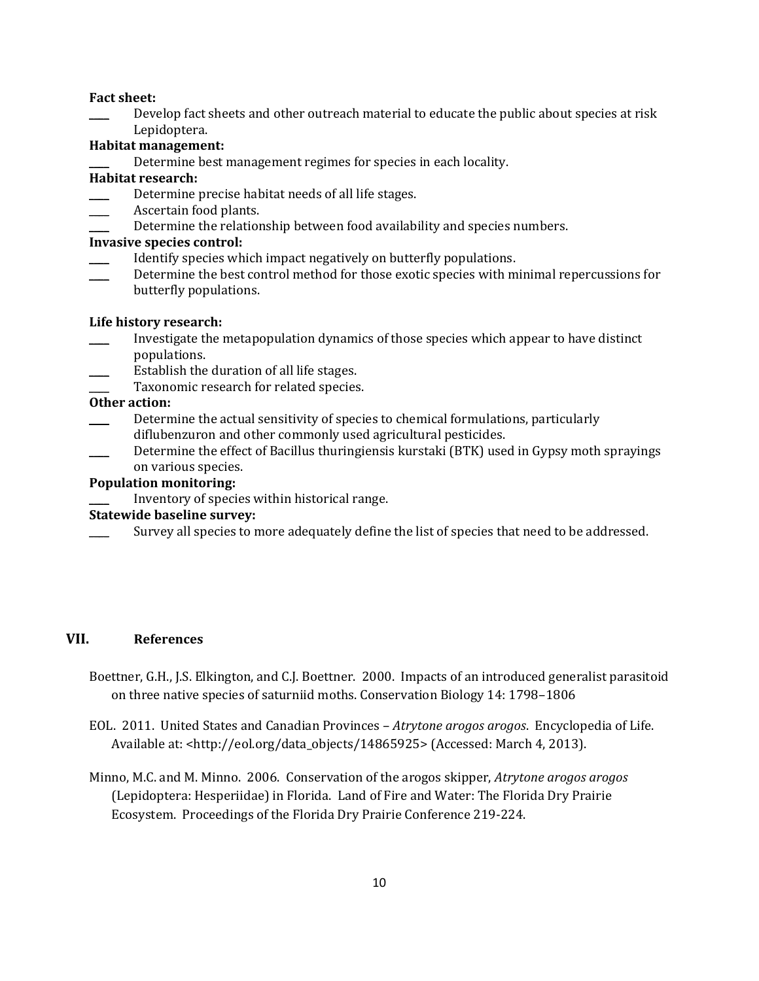#### **Fact sheet:**

Develop fact sheets and other outreach material to educate the public about species at risk Lepidoptera.

# **Habitat management:**

Determine best management regimes for species in each locality.

# **Habitat research:**

- Determine precise habitat needs of all life stages.
- Ascertain food plants.
- Determine the relationship between food availability and species numbers.

# **Invasive species control:**

- Identify species which impact negatively on butterfly populations.
- Determine the best control method for those exotic species with minimal repercussions for butterfly populations.

# **Life history research:**

- \_\_\_\_ Investigate the metapopulation dynamics of those species which appear to have distinct populations.
- Establish the duration of all life stages.
- Taxonomic research for related species.

# **Other action:**

- Determine the actual sensitivity of species to chemical formulations, particularly diflubenzuron and other commonly used agricultural pesticides.
- Determine the effect of Bacillus thuringiensis kurstaki (BTK) used in Gypsy moth sprayings on various species.

# **Population monitoring:**

\_\_\_\_ Inventory of species within historical range.

# **Statewide baseline survey:**

Survey all species to more adequately define the list of species that need to be addressed.

# **VII. References**

- Boettner, G.H., J.S. Elkington, and C.J. Boettner. 2000. Impacts of an introduced generalist parasitoid on three native species of saturniid moths. Conservation Biology 14: 1798–1806
- EOL. 2011. United States and Canadian Provinces *Atrytone arogos arogos*. Encyclopedia of Life. Available at: <http://eol.org/data\_objects/14865925> (Accessed: March 4, 2013).
- Minno, M.C. and M. Minno. 2006. Conservation of the arogos skipper, *Atrytone arogos arogos* (Lepidoptera: Hesperiidae) in Florida. Land of Fire and Water: The Florida Dry Prairie Ecosystem. Proceedings of the Florida Dry Prairie Conference 219-224.